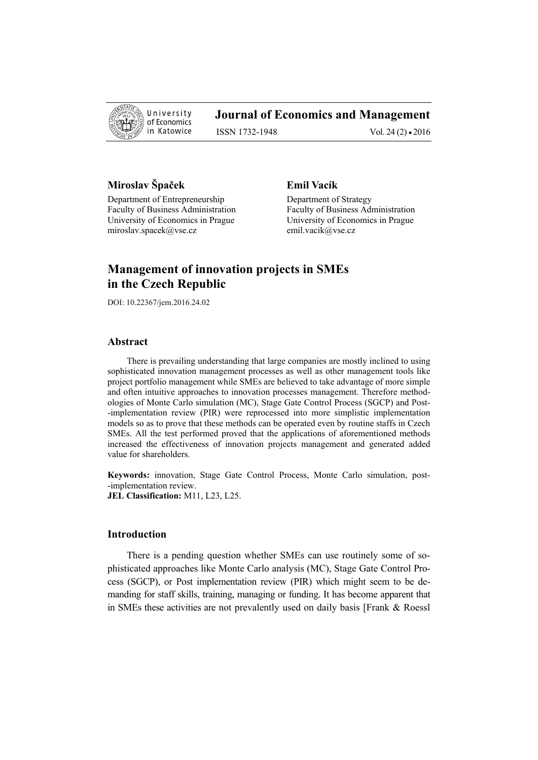

# **Journal of Economics and Management**

ISSN 1732-1948 Vol. 24 (2) • 2016

# **Miroslav Špaček Emil Vacík**

Department of Entrepreneurship Department of Strategy Faculty of Business Administration Faculty of Business Administration University of Economics in Prague University of Economics in Prague miroslav.spacek@vse.cz emil.vacik@vse.cz

# **Management of innovation projects in SMEs in the Czech Republic**

DOI: 10.22367/jem.2016.24.02

#### **Abstract**

There is prevailing understanding that large companies are mostly inclined to using sophisticated innovation management processes as well as other management tools like project portfolio management while SMEs are believed to take advantage of more simple and often intuitive approaches to innovation processes management. Therefore methodologies of Monte Carlo simulation (MC), Stage Gate Control Process (SGCP) and Post- -implementation review (PIR) were reprocessed into more simplistic implementation models so as to prove that these methods can be operated even by routine staffs in Czech SMEs. All the test performed proved that the applications of aforementioned methods increased the effectiveness of innovation projects management and generated added value for shareholders.

**Keywords:** innovation, Stage Gate Control Process, Monte Carlo simulation, post- -implementation review. **JEL Classification:** M11, L23, L25.

# **Introduction**

There is a pending question whether SMEs can use routinely some of sophisticated approaches like Monte Carlo analysis (MC), Stage Gate Control Process (SGCP), or Post implementation review (PIR) which might seem to be demanding for staff skills, training, managing or funding. It has become apparent that in SMEs these activities are not prevalently used on daily basis [Frank & Roessl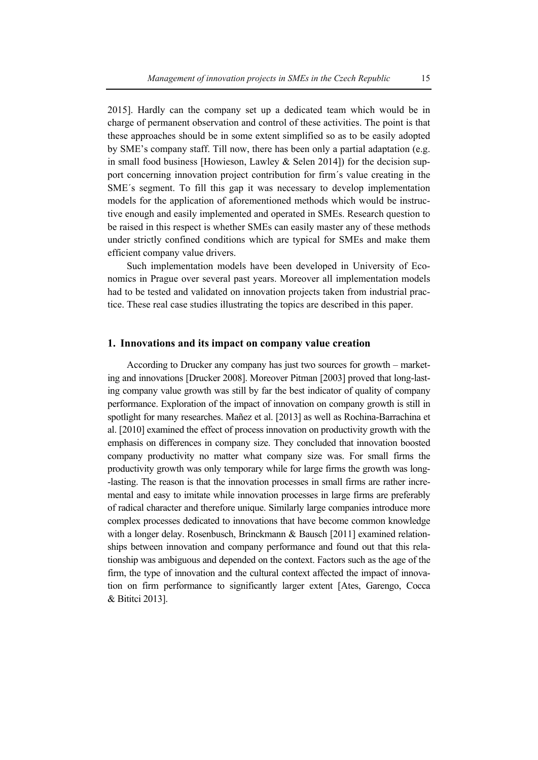2015]. Hardly can the company set up a dedicated team which would be in charge of permanent observation and control of these activities. The point is that these approaches should be in some extent simplified so as to be easily adopted by SME's company staff. Till now, there has been only a partial adaptation (e.g. in small food business [Howieson, Lawley  $&$  Selen 2014]) for the decision support concerning innovation project contribution for firm´s value creating in the SME´s segment. To fill this gap it was necessary to develop implementation models for the application of aforementioned methods which would be instructive enough and easily implemented and operated in SMEs. Research question to be raised in this respect is whether SMEs can easily master any of these methods under strictly confined conditions which are typical for SMEs and make them efficient company value drivers.

Such implementation models have been developed in University of Economics in Prague over several past years. Moreover all implementation models had to be tested and validated on innovation projects taken from industrial practice. These real case studies illustrating the topics are described in this paper.

#### **1. Innovations and its impact on company value creation**

According to Drucker any company has just two sources for growth – marketing and innovations [Drucker 2008]. Moreover Pitman [2003] proved that long-lasting company value growth was still by far the best indicator of quality of company performance. Exploration of the impact of innovation on company growth is still in spotlight for many researches. Mañez et al. [2013] as well as Rochina-Barrachina et al. [2010] examined the effect of process innovation on productivity growth with the emphasis on differences in company size. They concluded that innovation boosted company productivity no matter what company size was. For small firms the productivity growth was only temporary while for large firms the growth was long- -lasting. The reason is that the innovation processes in small firms are rather incremental and easy to imitate while innovation processes in large firms are preferably of radical character and therefore unique. Similarly large companies introduce more complex processes dedicated to innovations that have become common knowledge with a longer delay. Rosenbusch, Brinckmann & Bausch [2011] examined relationships between innovation and company performance and found out that this relationship was ambiguous and depended on the context. Factors such as the age of the firm, the type of innovation and the cultural context affected the impact of innovation on firm performance to significantly larger extent [Ates, Garengo, Cocca & Bititci 2013].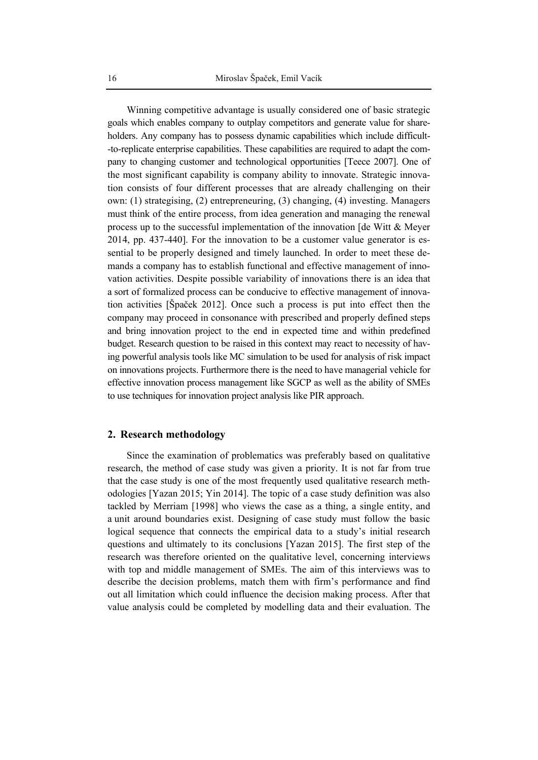Winning competitive advantage is usually considered one of basic strategic goals which enables company to outplay competitors and generate value for shareholders. Any company has to possess dynamic capabilities which include difficult- -to-replicate enterprise capabilities. These capabilities are required to adapt the company to changing customer and technological opportunities [Teece 2007]. One of the most significant capability is company ability to innovate. Strategic innovation consists of four different processes that are already challenging on their own: (1) strategising, (2) entrepreneuring, (3) changing, (4) investing. Managers must think of the entire process, from idea generation and managing the renewal process up to the successful implementation of the innovation [de Witt & Meyer 2014, pp. 437-440]. For the innovation to be a customer value generator is essential to be properly designed and timely launched. In order to meet these demands a company has to establish functional and effective management of innovation activities. Despite possible variability of innovations there is an idea that a sort of formalized process can be conducive to effective management of innovation activities [Špaček 2012]. Once such a process is put into effect then the company may proceed in consonance with prescribed and properly defined steps and bring innovation project to the end in expected time and within predefined budget. Research question to be raised in this context may react to necessity of having powerful analysis tools like MC simulation to be used for analysis of risk impact on innovations projects. Furthermore there is the need to have managerial vehicle for effective innovation process management like SGCP as well as the ability of SMEs to use techniques for innovation project analysis like PIR approach.

#### **2. Research methodology**

Since the examination of problematics was preferably based on qualitative research, the method of case study was given a priority. It is not far from true that the case study is one of the most frequently used qualitative research methodologies [Yazan 2015; Yin 2014]. The topic of a case study definition was also tackled by Merriam [1998] who views the case as a thing, a single entity, and a unit around boundaries exist. Designing of case study must follow the basic logical sequence that connects the empirical data to a study's initial research questions and ultimately to its conclusions [Yazan 2015]. The first step of the research was therefore oriented on the qualitative level, concerning interviews with top and middle management of SMEs. The aim of this interviews was to describe the decision problems, match them with firm's performance and find out all limitation which could influence the decision making process. After that value analysis could be completed by modelling data and their evaluation. The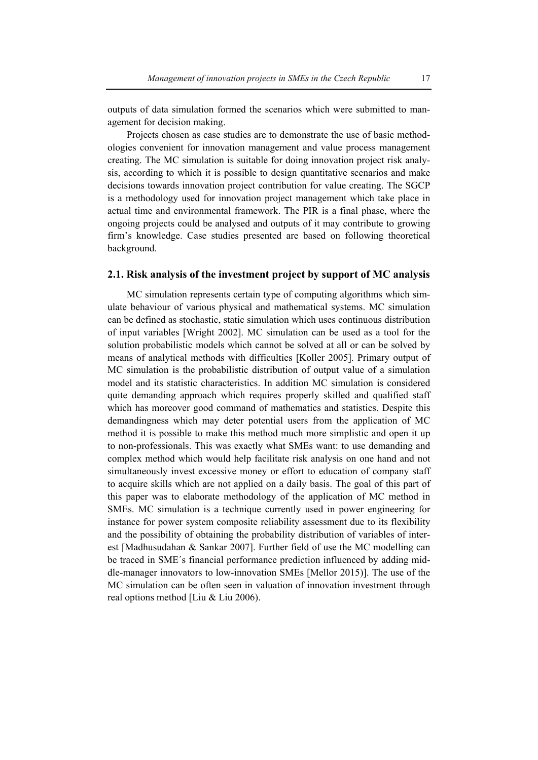outputs of data simulation formed the scenarios which were submitted to management for decision making.

Projects chosen as case studies are to demonstrate the use of basic methodologies convenient for innovation management and value process management creating. The MC simulation is suitable for doing innovation project risk analysis, according to which it is possible to design quantitative scenarios and make decisions towards innovation project contribution for value creating. The SGCP is a methodology used for innovation project management which take place in actual time and environmental framework. The PIR is a final phase, where the ongoing projects could be analysed and outputs of it may contribute to growing firm's knowledge. Case studies presented are based on following theoretical background.

# **2.1. Risk analysis of the investment project by support of MC analysis**

MC simulation represents certain type of computing algorithms which simulate behaviour of various physical and mathematical systems. MC simulation can be defined as stochastic, static simulation which uses continuous distribution of input variables [Wright 2002]. MC simulation can be used as a tool for the solution probabilistic models which cannot be solved at all or can be solved by means of analytical methods with difficulties [Koller 2005]. Primary output of MC simulation is the probabilistic distribution of output value of a simulation model and its statistic characteristics. In addition MC simulation is considered quite demanding approach which requires properly skilled and qualified staff which has moreover good command of mathematics and statistics. Despite this demandingness which may deter potential users from the application of MC method it is possible to make this method much more simplistic and open it up to non-professionals. This was exactly what SMEs want: to use demanding and complex method which would help facilitate risk analysis on one hand and not simultaneously invest excessive money or effort to education of company staff to acquire skills which are not applied on a daily basis. The goal of this part of this paper was to elaborate methodology of the application of MC method in SMEs. MC simulation is a technique currently used in power engineering for instance for power system composite reliability assessment due to its flexibility and the possibility of obtaining the probability distribution of variables of interest [Madhusudahan & Sankar 2007]. Further field of use the MC modelling can be traced in SME´s financial performance prediction influenced by adding middle-manager innovators to low-innovation SMEs [Mellor 2015)]. The use of the MC simulation can be often seen in valuation of innovation investment through real options method [Liu & Liu 2006).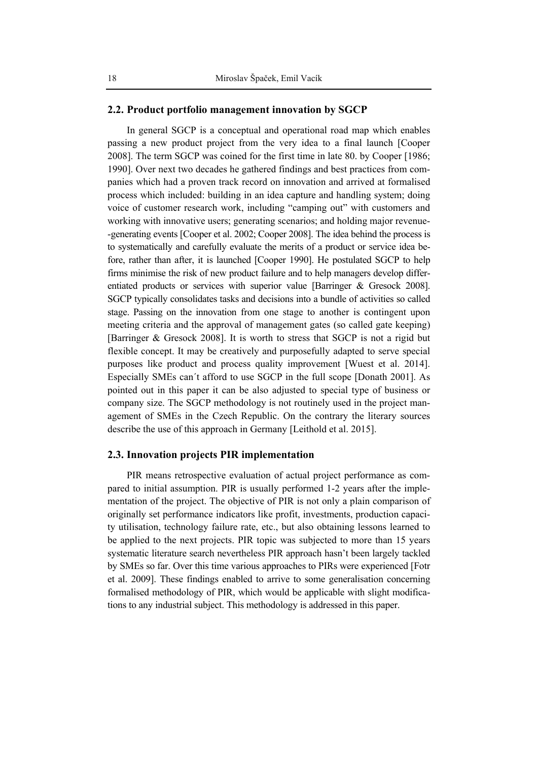### **2.2. Product portfolio management innovation by SGCP**

In general SGCP is a conceptual and operational road map which enables passing a new product project from the very idea to a final launch [Cooper 2008]. The term SGCP was coined for the first time in late 80. by Cooper [1986; 1990]. Over next two decades he gathered findings and best practices from companies which had a proven track record on innovation and arrived at formalised process which included: building in an idea capture and handling system; doing voice of customer research work, including "camping out" with customers and working with innovative users; generating scenarios; and holding major revenue- -generating events [Cooper et al. 2002; Cooper 2008]. The idea behind the process is to systematically and carefully evaluate the merits of a product or service idea before, rather than after, it is launched [Cooper 1990]. He postulated SGCP to help firms minimise the risk of new product failure and to help managers develop differentiated products or services with superior value [Barringer & Gresock 2008]. SGCP typically consolidates tasks and decisions into a bundle of activities so called stage. Passing on the innovation from one stage to another is contingent upon meeting criteria and the approval of management gates (so called gate keeping) [Barringer & Gresock 2008]. It is worth to stress that SGCP is not a rigid but flexible concept. It may be creatively and purposefully adapted to serve special purposes like product and process quality improvement [Wuest et al. 2014]. Especially SMEs can´t afford to use SGCP in the full scope [Donath 2001]. As pointed out in this paper it can be also adjusted to special type of business or company size. The SGCP methodology is not routinely used in the project management of SMEs in the Czech Republic. On the contrary the literary sources describe the use of this approach in Germany [Leithold et al. 2015].

#### **2.3. Innovation projects PIR implementation**

PIR means retrospective evaluation of actual project performance as compared to initial assumption. PIR is usually performed 1-2 years after the implementation of the project. The objective of PIR is not only a plain comparison of originally set performance indicators like profit, investments, production capacity utilisation, technology failure rate, etc., but also obtaining lessons learned to be applied to the next projects. PIR topic was subjected to more than 15 years systematic literature search nevertheless PIR approach hasn't been largely tackled by SMEs so far. Over this time various approaches to PIRs were experienced [Fotr et al. 2009]. These findings enabled to arrive to some generalisation concerning formalised methodology of PIR, which would be applicable with slight modifications to any industrial subject. This methodology is addressed in this paper.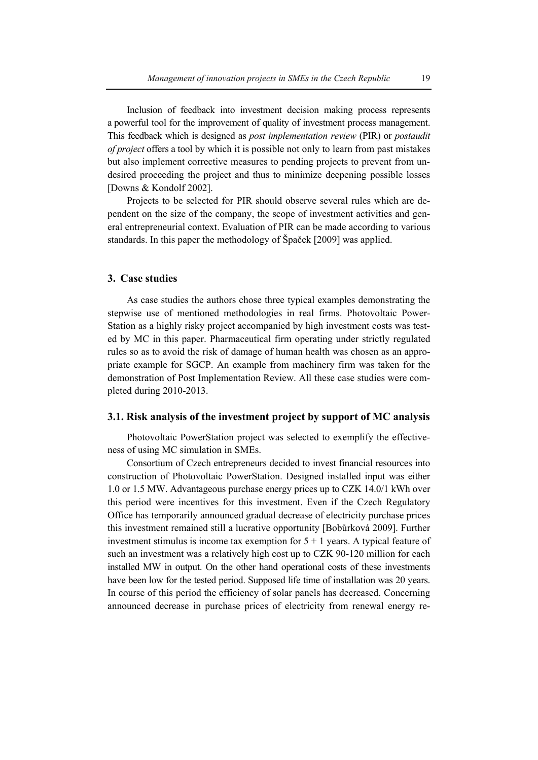Inclusion of feedback into investment decision making process represents a powerful tool for the improvement of quality of investment process management. This feedback which is designed as *post implementation review* (PIR) or *postaudit of project* offers a tool by which it is possible not only to learn from past mistakes but also implement corrective measures to pending projects to prevent from undesired proceeding the project and thus to minimize deepening possible losses [Downs & Kondolf 2002].

Projects to be selected for PIR should observe several rules which are dependent on the size of the company, the scope of investment activities and general entrepreneurial context. Evaluation of PIR can be made according to various standards. In this paper the methodology of Špaček [2009] was applied.

#### **3. Case studies**

As case studies the authors chose three typical examples demonstrating the stepwise use of mentioned methodologies in real firms. Photovoltaic Power-Station as a highly risky project accompanied by high investment costs was tested by MC in this paper. Pharmaceutical firm operating under strictly regulated rules so as to avoid the risk of damage of human health was chosen as an appropriate example for SGCP. An example from machinery firm was taken for the demonstration of Post Implementation Review. All these case studies were completed during 2010-2013.

# **3.1. Risk analysis of the investment project by support of MC analysis**

Photovoltaic PowerStation project was selected to exemplify the effectiveness of using MC simulation in SMEs.

Consortium of Czech entrepreneurs decided to invest financial resources into construction of Photovoltaic PowerStation. Designed installed input was either 1.0 or 1.5 MW. Advantageous purchase energy prices up to CZK 14.0/1 kWh over this period were incentives for this investment. Even if the Czech Regulatory Office has temporarily announced gradual decrease of electricity purchase prices this investment remained still a lucrative opportunity [Bobůrková 2009]. Further investment stimulus is income tax exemption for  $5 + 1$  years. A typical feature of such an investment was a relatively high cost up to CZK 90-120 million for each installed MW in output. On the other hand operational costs of these investments have been low for the tested period. Supposed life time of installation was 20 years. In course of this period the efficiency of solar panels has decreased. Concerning announced decrease in purchase prices of electricity from renewal energy re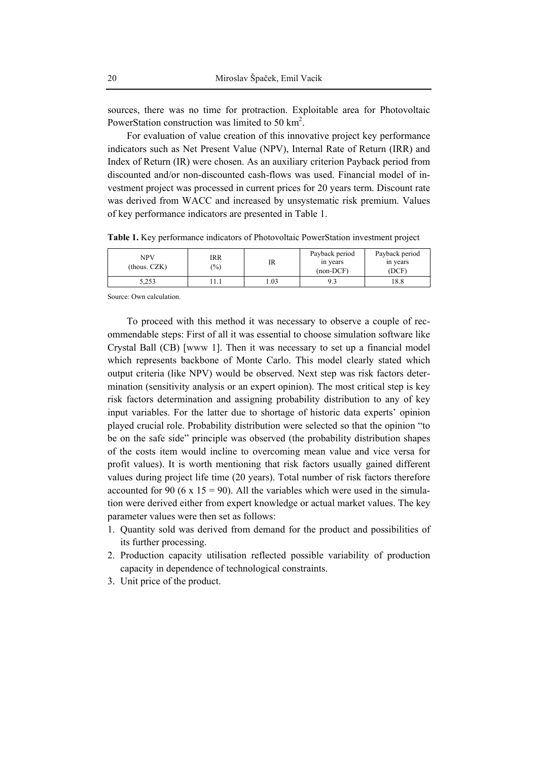sources, there was no time for protraction. Exploitable area for Photovoltaic PowerStation construction was limited to 50  $\text{km}^2$ .

For evaluation of value creation of this innovative project key performance indicators such as Net Present Value (NPV), Internal Rate of Return (IRR) and Index of Return (IR) were chosen. As an auxiliary criterion Payback period from discounted and/or non-discounted cash-flows was used. Financial model of investment project was processed in current prices for 20 years term. Discount rate was derived from WACC and increased by unsystematic risk premium. Values of key performance indicators are presented in Table 1.

NPV (thous. CZK) IRR  $\begin{array}{c}\n\text{IKK} \\
\text{(%)}\n\end{array}$  IR Payback period in years (non-DCF) Payback period in years (DCF) 5,253 | 11.1 | 1.03 | 9.3 | 18.8

**Table 1.** Key performance indicators of Photovoltaic PowerStation investment project

Source: Own calculation.

To proceed with this method it was necessary to observe a couple of recommendable steps: First of all it was essential to choose simulation software like Crystal Ball (CB) [www 1]. Then it was necessary to set up a financial model which represents backbone of Monte Carlo. This model clearly stated which output criteria (like NPV) would be observed. Next step was risk factors determination (sensitivity analysis or an expert opinion). The most critical step is key risk factors determination and assigning probability distribution to any of key input variables. For the latter due to shortage of historic data experts' opinion played crucial role. Probability distribution were selected so that the opinion "to be on the safe side" principle was observed (the probability distribution shapes of the costs item would incline to overcoming mean value and vice versa for profit values). It is worth mentioning that risk factors usually gained different values during project life time (20 years). Total number of risk factors therefore accounted for 90 (6 x 15 = 90). All the variables which were used in the simulation were derived either from expert knowledge or actual market values. The key parameter values were then set as follows:

- 1. Quantity sold was derived from demand for the product and possibilities of its further processing.
- 2. Production capacity utilisation reflected possible variability of production capacity in dependence of technological constraints.
- 3. Unit price of the product.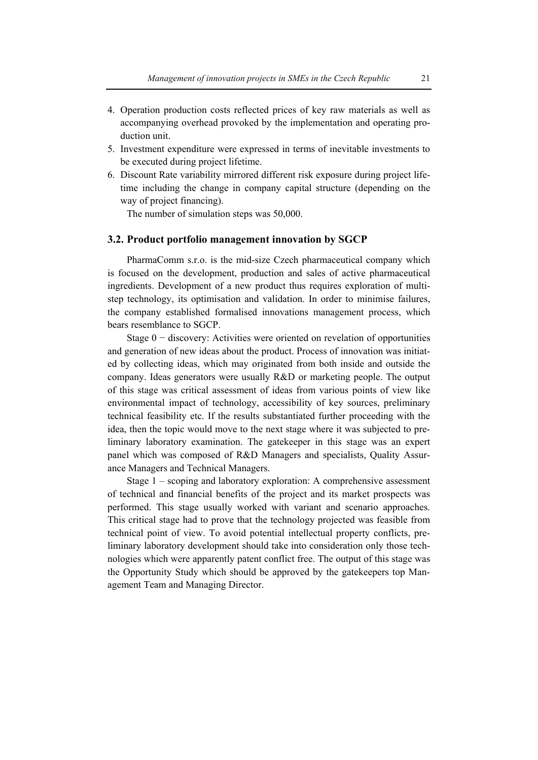- 4. Operation production costs reflected prices of key raw materials as well as accompanying overhead provoked by the implementation and operating production unit.
- 5. Investment expenditure were expressed in terms of inevitable investments to be executed during project lifetime.
- 6. Discount Rate variability mirrored different risk exposure during project lifetime including the change in company capital structure (depending on the way of project financing).

The number of simulation steps was 50,000.

#### **3.2. Product portfolio management innovation by SGCP**

PharmaComm s.r.o. is the mid-size Czech pharmaceutical company which is focused on the development, production and sales of active pharmaceutical ingredients. Development of a new product thus requires exploration of multistep technology, its optimisation and validation. In order to minimise failures, the company established formalised innovations management process, which bears resemblance to SGCP.

Stage 0 − discovery: Activities were oriented on revelation of opportunities and generation of new ideas about the product. Process of innovation was initiated by collecting ideas, which may originated from both inside and outside the company. Ideas generators were usually R&D or marketing people. The output of this stage was critical assessment of ideas from various points of view like environmental impact of technology, accessibility of key sources, preliminary technical feasibility etc. If the results substantiated further proceeding with the idea, then the topic would move to the next stage where it was subjected to preliminary laboratory examination. The gatekeeper in this stage was an expert panel which was composed of R&D Managers and specialists, Quality Assurance Managers and Technical Managers.

Stage 1 – scoping and laboratory exploration: A comprehensive assessment of technical and financial benefits of the project and its market prospects was performed. This stage usually worked with variant and scenario approaches. This critical stage had to prove that the technology projected was feasible from technical point of view. To avoid potential intellectual property conflicts, preliminary laboratory development should take into consideration only those technologies which were apparently patent conflict free. The output of this stage was the Opportunity Study which should be approved by the gatekeepers top Management Team and Managing Director.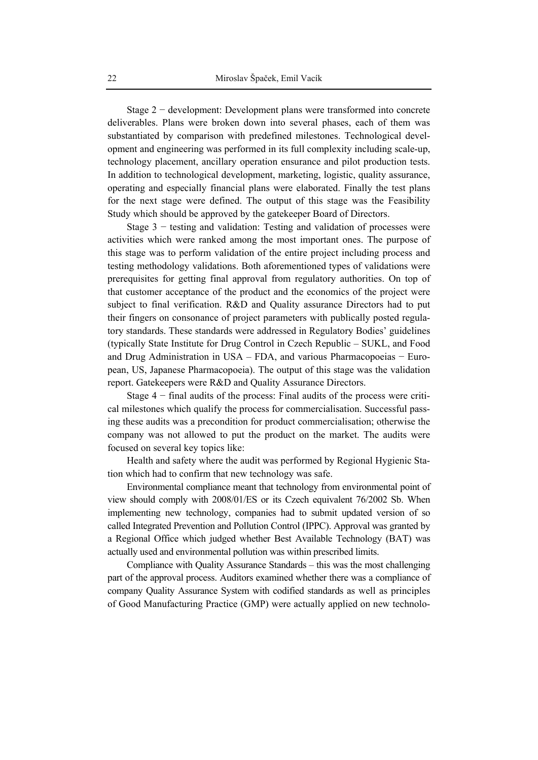Stage 2 − development: Development plans were transformed into concrete deliverables. Plans were broken down into several phases, each of them was substantiated by comparison with predefined milestones. Technological development and engineering was performed in its full complexity including scale-up, technology placement, ancillary operation ensurance and pilot production tests. In addition to technological development, marketing, logistic, quality assurance, operating and especially financial plans were elaborated. Finally the test plans for the next stage were defined. The output of this stage was the Feasibility Study which should be approved by the gatekeeper Board of Directors.

Stage 3 − testing and validation: Testing and validation of processes were activities which were ranked among the most important ones. The purpose of this stage was to perform validation of the entire project including process and testing methodology validations. Both aforementioned types of validations were prerequisites for getting final approval from regulatory authorities. On top of that customer acceptance of the product and the economics of the project were subject to final verification. R&D and Quality assurance Directors had to put their fingers on consonance of project parameters with publically posted regulatory standards. These standards were addressed in Regulatory Bodies' guidelines (typically State Institute for Drug Control in Czech Republic – SUKL, and Food and Drug Administration in USA – FDA, and various Pharmacopoeias − European, US, Japanese Pharmacopoeia). The output of this stage was the validation report. Gatekeepers were R&D and Quality Assurance Directors.

Stage 4 − final audits of the process: Final audits of the process were critical milestones which qualify the process for commercialisation. Successful passing these audits was a precondition for product commercialisation; otherwise the company was not allowed to put the product on the market. The audits were focused on several key topics like:

Health and safety where the audit was performed by Regional Hygienic Station which had to confirm that new technology was safe.

Environmental compliance meant that technology from environmental point of view should comply with 2008/01/ES or its Czech equivalent 76/2002 Sb. When implementing new technology, companies had to submit updated version of so called Integrated Prevention and Pollution Control (IPPC). Approval was granted by a Regional Office which judged whether Best Available Technology (BAT) was actually used and environmental pollution was within prescribed limits.

Compliance with Quality Assurance Standards – this was the most challenging part of the approval process. Auditors examined whether there was a compliance of company Quality Assurance System with codified standards as well as principles of Good Manufacturing Practice (GMP) were actually applied on new technolo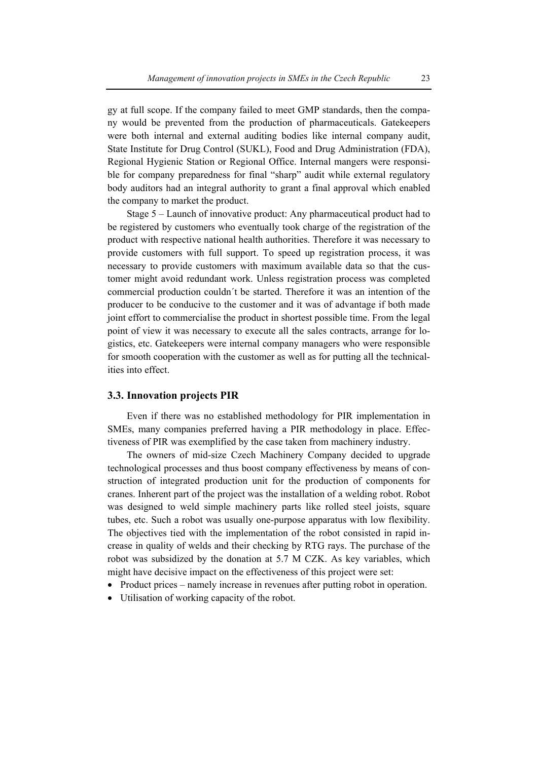gy at full scope. If the company failed to meet GMP standards, then the company would be prevented from the production of pharmaceuticals. Gatekeepers were both internal and external auditing bodies like internal company audit, State Institute for Drug Control (SUKL), Food and Drug Administration (FDA), Regional Hygienic Station or Regional Office. Internal mangers were responsible for company preparedness for final "sharp" audit while external regulatory body auditors had an integral authority to grant a final approval which enabled the company to market the product.

Stage 5 – Launch of innovative product: Any pharmaceutical product had to be registered by customers who eventually took charge of the registration of the product with respective national health authorities. Therefore it was necessary to provide customers with full support. To speed up registration process, it was necessary to provide customers with maximum available data so that the customer might avoid redundant work. Unless registration process was completed commercial production couldn´t be started. Therefore it was an intention of the producer to be conducive to the customer and it was of advantage if both made joint effort to commercialise the product in shortest possible time. From the legal point of view it was necessary to execute all the sales contracts, arrange for logistics, etc. Gatekeepers were internal company managers who were responsible for smooth cooperation with the customer as well as for putting all the technicalities into effect.

## **3.3. Innovation projects PIR**

Even if there was no established methodology for PIR implementation in SMEs, many companies preferred having a PIR methodology in place. Effectiveness of PIR was exemplified by the case taken from machinery industry.

The owners of mid-size Czech Machinery Company decided to upgrade technological processes and thus boost company effectiveness by means of construction of integrated production unit for the production of components for cranes. Inherent part of the project was the installation of a welding robot. Robot was designed to weld simple machinery parts like rolled steel joists, square tubes, etc. Such a robot was usually one-purpose apparatus with low flexibility. The objectives tied with the implementation of the robot consisted in rapid increase in quality of welds and their checking by RTG rays. The purchase of the robot was subsidized by the donation at 5.7 M CZK. As key variables, which might have decisive impact on the effectiveness of this project were set:

- Product prices namely increase in revenues after putting robot in operation.
- Utilisation of working capacity of the robot.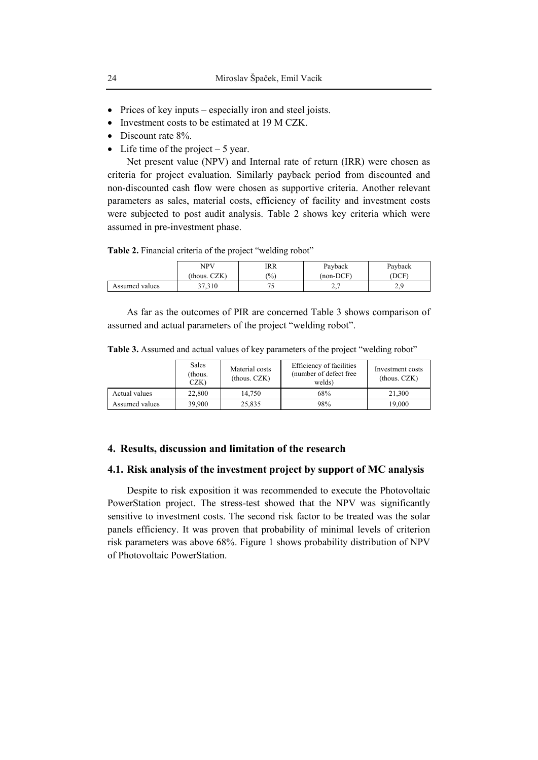- Prices of key inputs especially iron and steel joists.
- Investment costs to be estimated at 19 M CZK.
- Discount rate  $8\%$ .
- Life time of the project  $-5$  year.

Net present value (NPV) and Internal rate of return (IRR) were chosen as criteria for project evaluation. Similarly payback period from discounted and non-discounted cash flow were chosen as supportive criteria. Another relevant parameters as sales, material costs, efficiency of facility and investment costs were subjected to post audit analysis. Table 2 shows key criteria which were assumed in pre-investment phase.

**Table 2.** Financial criteria of the project "welding robot"

|                | <b>NPV</b>   | IRR           | Payback             | Payback  |
|----------------|--------------|---------------|---------------------|----------|
|                | (thous. CZK) | $\frac{1}{2}$ | $(non-DCF)$         | DCF      |
| Assumed values | 27,310       | ◡             | $\sim$ $\sim$<br>٠. | 0 כ<br>∼ |

As far as the outcomes of PIR are concerned Table 3 shows comparison of assumed and actual parameters of the project "welding robot".

**Table 3.** Assumed and actual values of key parameters of the project "welding robot"

|                | <b>Sales</b><br>(thous.<br>CZK) | Material costs<br>$-thous. CZK)$ | Efficiency of facilities<br>(number of defect free)<br>welds) | Investment costs<br>$-thous. CZK)$ |
|----------------|---------------------------------|----------------------------------|---------------------------------------------------------------|------------------------------------|
| Actual values  | 22,800                          | 14.750                           | 68%                                                           | 21.300                             |
| Assumed values | 39.900                          | 25.835                           | 98%                                                           | 19.000                             |

# **4. Results, discussion and limitation of the research**

## **4.1. Risk analysis of the investment project by support of MC analysis**

Despite to risk exposition it was recommended to execute the Photovoltaic PowerStation project. The stress-test showed that the NPV was significantly sensitive to investment costs. The second risk factor to be treated was the solar panels efficiency. It was proven that probability of minimal levels of criterion risk parameters was above 68%. Figure 1 shows probability distribution of NPV of Photovoltaic PowerStation.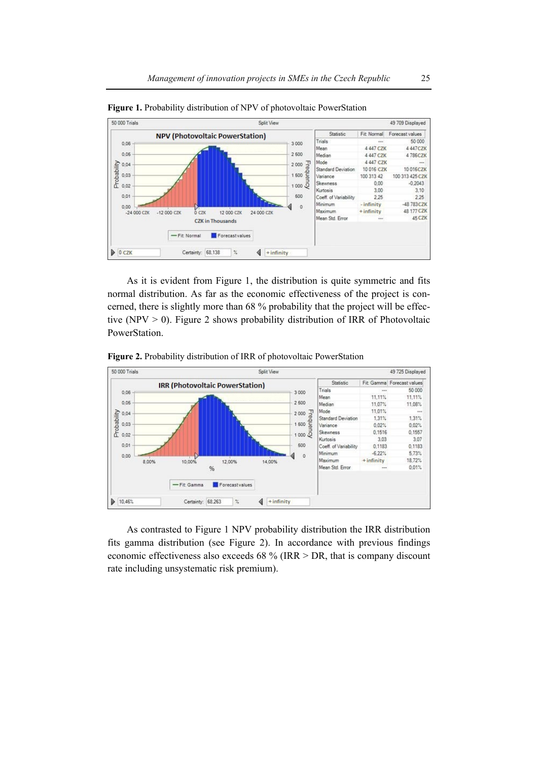

**Figure 1.** Probability distribution of NPV of photovoltaic PowerStation

As it is evident from Figure 1, the distribution is quite symmetric and fits normal distribution. As far as the economic effectiveness of the project is concerned, there is slightly more than 68 % probability that the project will be effective (NPV  $>$  0). Figure 2 shows probability distribution of IRR of Photovoltaic PowerStation.

**Figure 2.** Probability distribution of IRR of photovoltaic PowerStation



As contrasted to Figure 1 NPV probability distribution the IRR distribution fits gamma distribution (see Figure 2). In accordance with previous findings economic effectiveness also exceeds 68 % (IRR > DR, that is company discount rate including unsystematic risk premium).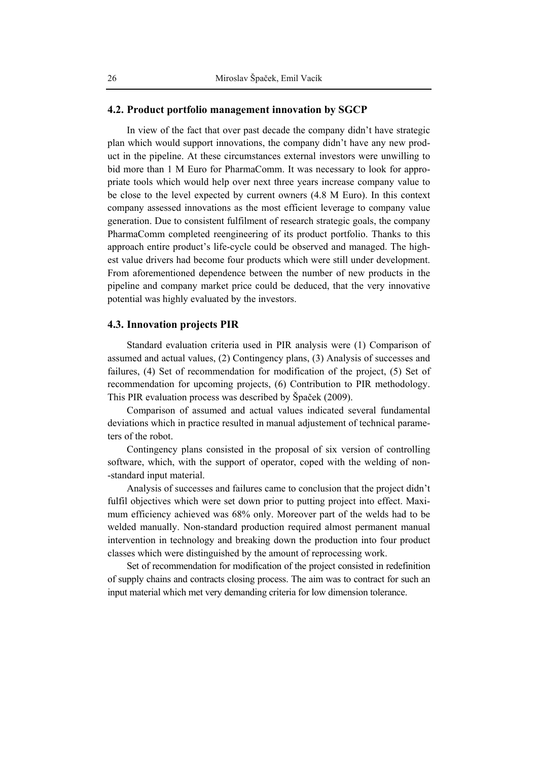## **4.2. Product portfolio management innovation by SGCP**

In view of the fact that over past decade the company didn't have strategic plan which would support innovations, the company didn't have any new product in the pipeline. At these circumstances external investors were unwilling to bid more than 1 M Euro for PharmaComm. It was necessary to look for appropriate tools which would help over next three years increase company value to be close to the level expected by current owners (4.8 M Euro). In this context company assessed innovations as the most efficient leverage to company value generation. Due to consistent fulfilment of research strategic goals, the company PharmaComm completed reengineering of its product portfolio. Thanks to this approach entire product's life-cycle could be observed and managed. The highest value drivers had become four products which were still under development. From aforementioned dependence between the number of new products in the pipeline and company market price could be deduced, that the very innovative potential was highly evaluated by the investors.

# **4.3. Innovation projects PIR**

Standard evaluation criteria used in PIR analysis were (1) Comparison of assumed and actual values, (2) Contingency plans, (3) Analysis of successes and failures, (4) Set of recommendation for modification of the project, (5) Set of recommendation for upcoming projects, (6) Contribution to PIR methodology. This PIR evaluation process was described by Špaček (2009).

Comparison of assumed and actual values indicated several fundamental deviations which in practice resulted in manual adjustement of technical parameters of the robot.

Contingency plans consisted in the proposal of six version of controlling software, which, with the support of operator, coped with the welding of non- -standard input material.

Analysis of successes and failures came to conclusion that the project didn't fulfil objectives which were set down prior to putting project into effect. Maximum efficiency achieved was 68% only. Moreover part of the welds had to be welded manually. Non-standard production required almost permanent manual intervention in technology and breaking down the production into four product classes which were distinguished by the amount of reprocessing work.

Set of recommendation for modification of the project consisted in redefinition of supply chains and contracts closing process. The aim was to contract for such an input material which met very demanding criteria for low dimension tolerance.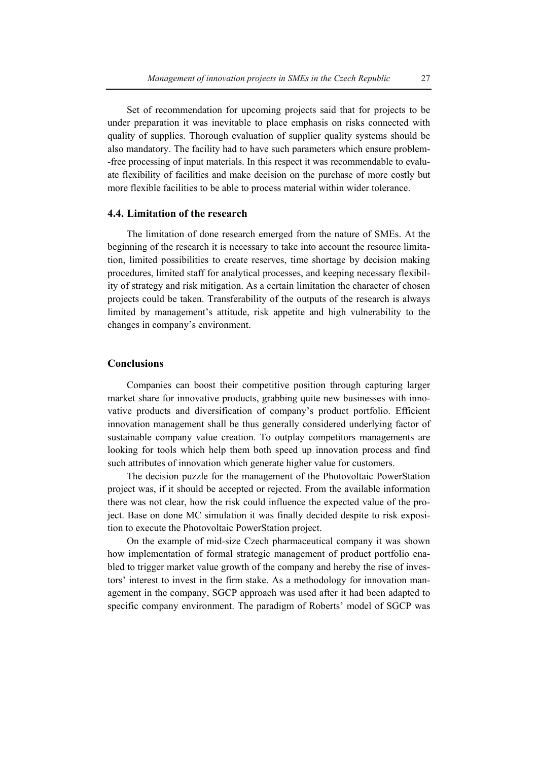Set of recommendation for upcoming projects said that for projects to be under preparation it was inevitable to place emphasis on risks connected with quality of supplies. Thorough evaluation of supplier quality systems should be also mandatory. The facility had to have such parameters which ensure problem- -free processing of input materials. In this respect it was recommendable to evaluate flexibility of facilities and make decision on the purchase of more costly but more flexible facilities to be able to process material within wider tolerance.

#### **4.4. Limitation of the research**

The limitation of done research emerged from the nature of SMEs. At the beginning of the research it is necessary to take into account the resource limitation, limited possibilities to create reserves, time shortage by decision making procedures, limited staff for analytical processes, and keeping necessary flexibility of strategy and risk mitigation. As a certain limitation the character of chosen projects could be taken. Transferability of the outputs of the research is always limited by management's attitude, risk appetite and high vulnerability to the changes in company's environment.

# **Conclusions**

Companies can boost their competitive position through capturing larger market share for innovative products, grabbing quite new businesses with innovative products and diversification of company's product portfolio. Efficient innovation management shall be thus generally considered underlying factor of sustainable company value creation. To outplay competitors managements are looking for tools which help them both speed up innovation process and find such attributes of innovation which generate higher value for customers.

The decision puzzle for the management of the Photovoltaic PowerStation project was, if it should be accepted or rejected. From the available information there was not clear, how the risk could influence the expected value of the project. Base on done MC simulation it was finally decided despite to risk exposition to execute the Photovoltaic PowerStation project.

On the example of mid-size Czech pharmaceutical company it was shown how implementation of formal strategic management of product portfolio enabled to trigger market value growth of the company and hereby the rise of investors' interest to invest in the firm stake. As a methodology for innovation management in the company, SGCP approach was used after it had been adapted to specific company environment. The paradigm of Roberts' model of SGCP was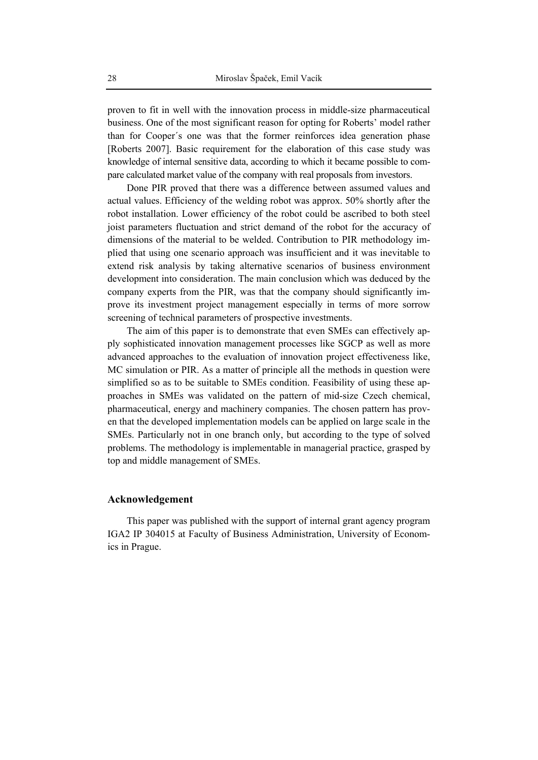proven to fit in well with the innovation process in middle-size pharmaceutical business. One of the most significant reason for opting for Roberts' model rather than for Cooper´s one was that the former reinforces idea generation phase [Roberts 2007]. Basic requirement for the elaboration of this case study was knowledge of internal sensitive data, according to which it became possible to compare calculated market value of the company with real proposals from investors.

Done PIR proved that there was a difference between assumed values and actual values. Efficiency of the welding robot was approx. 50% shortly after the robot installation. Lower efficiency of the robot could be ascribed to both steel joist parameters fluctuation and strict demand of the robot for the accuracy of dimensions of the material to be welded. Contribution to PIR methodology implied that using one scenario approach was insufficient and it was inevitable to extend risk analysis by taking alternative scenarios of business environment development into consideration. The main conclusion which was deduced by the company experts from the PIR, was that the company should significantly improve its investment project management especially in terms of more sorrow screening of technical parameters of prospective investments.

The aim of this paper is to demonstrate that even SMEs can effectively apply sophisticated innovation management processes like SGCP as well as more advanced approaches to the evaluation of innovation project effectiveness like, MC simulation or PIR. As a matter of principle all the methods in question were simplified so as to be suitable to SMEs condition. Feasibility of using these approaches in SMEs was validated on the pattern of mid-size Czech chemical, pharmaceutical, energy and machinery companies. The chosen pattern has proven that the developed implementation models can be applied on large scale in the SMEs. Particularly not in one branch only, but according to the type of solved problems. The methodology is implementable in managerial practice, grasped by top and middle management of SMEs.

# **Acknowledgement**

This paper was published with the support of internal grant agency program IGA2 IP 304015 at Faculty of Business Administration, University of Economics in Prague.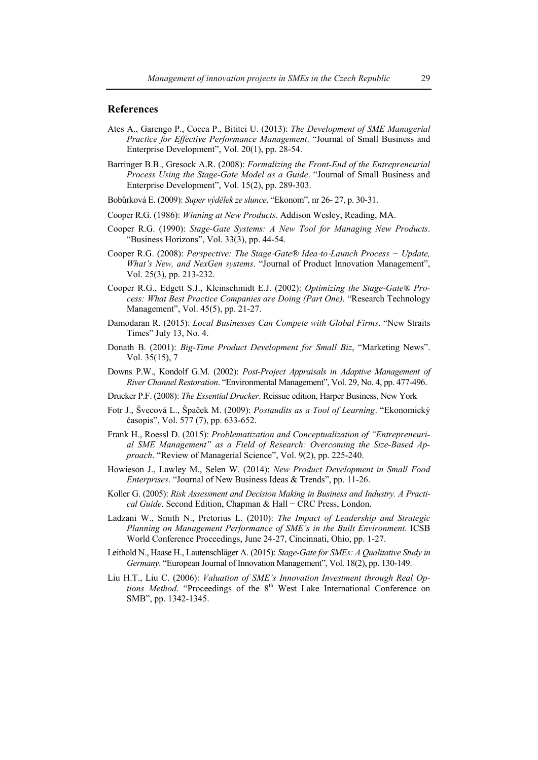#### **References**

- Ates A., Garengo P., Cocca P., Bititci U. (2013): *The Development of SME Managerial Practice for Effective Performance Management*. "Journal of Small Business and Enterprise Development", Vol. 20(1), pp. 28-54.
- Barringer B.B., Gresock A.R. (2008): *Formalizing the Front-End of the Entrepreneurial Process Using the Stage-Gate Model as a Guide*. "Journal of Small Business and Enterprise Development", Vol. 15(2), pp. 289-303.
- Bobůrková E. (2009): *Super výdělek ze slunce*. "Ekonom", nr 26- 27, p. 30-31.
- Cooper R.G. (1986): *Winning at New Products*. Addison Wesley, Reading, MA.
- Cooper R.G. (1990): *Stage-Gate Systems: A New Tool for Managing New Products*. "Business Horizons", Vol. 33(3), pp. 44-54.
- Cooper R.G. (2008): *Perspective: The Stage*‐*Gate® Idea*‐*to*‐*Launch Process − Update, What's New, and NexGen systems*. "Journal of Product Innovation Management", Vol. 25(3), pp. 213-232.
- Cooper R.G., Edgett S.J., Kleinschmidt E.J. (2002): *Optimizing the Stage-Gate® Process: What Best Practice Companies are Doing (Part One)*. "Research Technology Management", Vol. 45(5), pp. 21-27.
- Damodaran R. (2015): *Local Businesses Can Compete with Global Firms*. "New Straits Times" July 13, No. 4.
- Donath B. (2001): *Big-Time Product Development for Small Biz*, "Marketing News". Vol. 35(15), 7
- Downs P.W., Kondolf G.M. (2002): *Post-Project Appraisals in Adaptive Management of River Channel Restoration*. "Environmental Management", Vol. 29, No. 4, pp. 477-496.
- Drucker P.F. (2008): *The Essential Drucker*. Reissue edition, Harper Business, New York
- Fotr J., Švecová L., Špaček M. (2009): *Postaudits as a Tool of Learning*. "Ekonomický časopis", Vol. 577 (7), pp. 633-652.
- Frank H., Roessl D. (2015): *Problematization and Conceptualization of "Entrepreneurial SME Management" as a Field of Research: Overcoming the Size-Based Approach*. "Review of Managerial Science", Vol. 9(2), pp. 225-240.
- Howieson J., Lawley M., Selen W. (2014): *New Product Development in Small Food Enterprises*. "Journal of New Business Ideas & Trends", pp. 11-26.
- Koller G. (2005): *Risk Assessment and Decision Making in Business and Industry. A Practical Guide*. Second Edition, Chapman & Hall − CRC Press, London.
- Ladzani W., Smith N., Pretorius L. (2010): *The Impact of Leadership and Strategic Planning on Management Performance of SME's in the Built Environment*. ICSB World Conference Proceedings, June 24-27, Cincinnati, Ohio, pp. 1-27.
- Leithold N., Haase H., Lautenschläger A. (2015): *Stage-Gate for SMEs: A Qualitative Study in Germany*. "European Journal of Innovation Management", Vol. 18(2), pp. 130-149.
- Liu H.T., Liu C. (2006): *Valuation of SME's Innovation Investment through Real Options Method*. "Proceedings of the 8<sup>th</sup> West Lake International Conference on SMB", pp. 1342-1345.